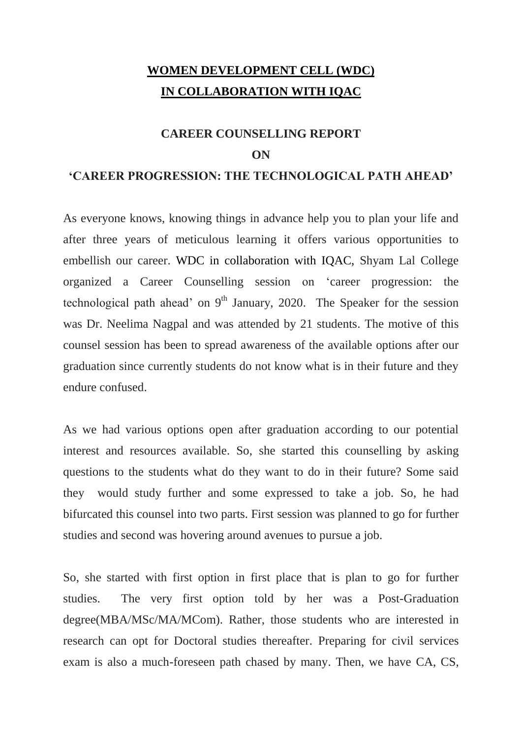### **WOMEN DEVELOPMENT CELL (WDC) IN COLLABORATION WITH IQAC**

### **CAREER COUNSELLING REPORT ON**

#### **'CAREER PROGRESSION: THE TECHNOLOGICAL PATH AHEAD'**

As everyone knows, knowing things in advance help you to plan your life and after three years of meticulous learning it offers various opportunities to embellish our career. WDC in collaboration with IQAC, Shyam Lal College organized a Career Counselling session on 'career progression: the technological path ahead' on  $9<sup>th</sup>$  January, 2020. The Speaker for the session was Dr. Neelima Nagpal and was attended by 21 students. The motive of this counsel session has been to spread awareness of the available options after our graduation since currently students do not know what is in their future and they endure confused.

As we had various options open after graduation according to our potential interest and resources available. So, she started this counselling by asking questions to the students what do they want to do in their future? Some said they would study further and some expressed to take a job. So, he had bifurcated this counsel into two parts. First session was planned to go for further studies and second was hovering around avenues to pursue a job.

So, she started with first option in first place that is plan to go for further studies. The very first option told by her was a Post-Graduation degree(MBA/MSc/MA/MCom). Rather, those students who are interested in research can opt for Doctoral studies thereafter. Preparing for civil services exam is also a much-foreseen path chased by many. Then, we have CA, CS,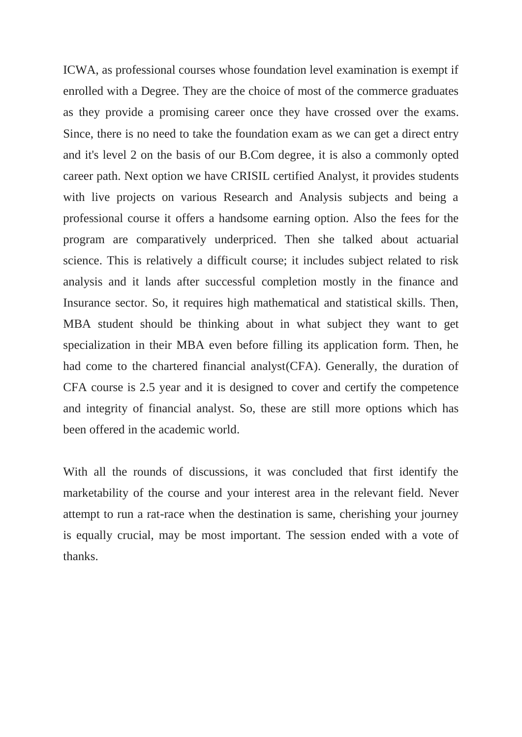ICWA, as professional courses whose foundation level examination is exempt if enrolled with a Degree. They are the choice of most of the commerce graduates as they provide a promising career once they have crossed over the exams. Since, there is no need to take the foundation exam as we can get a direct entry and it's level 2 on the basis of our B.Com degree, it is also a commonly opted career path. Next option we have CRISIL certified Analyst, it provides students with live projects on various Research and Analysis subjects and being a professional course it offers a handsome earning option. Also the fees for the program are comparatively underpriced. Then she talked about actuarial science. This is relatively a difficult course; it includes subject related to risk analysis and it lands after successful completion mostly in the finance and Insurance sector. So, it requires high mathematical and statistical skills. Then, MBA student should be thinking about in what subject they want to get specialization in their MBA even before filling its application form. Then, he had come to the chartered financial analyst(CFA). Generally, the duration of CFA course is 2.5 year and it is designed to cover and certify the competence and integrity of financial analyst. So, these are still more options which has been offered in the academic world.

With all the rounds of discussions, it was concluded that first identify the marketability of the course and your interest area in the relevant field. Never attempt to run a rat-race when the destination is same, cherishing your journey is equally crucial, may be most important. The session ended with a vote of thanks.